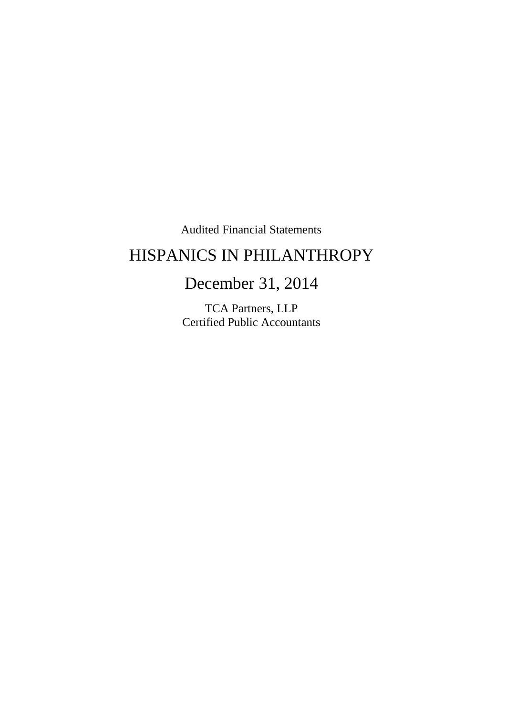Audited Financial Statements

# HISPANICS IN PHILANTHROPY

# December 31, 2014

TCA Partners, LLP Certified Public Accountants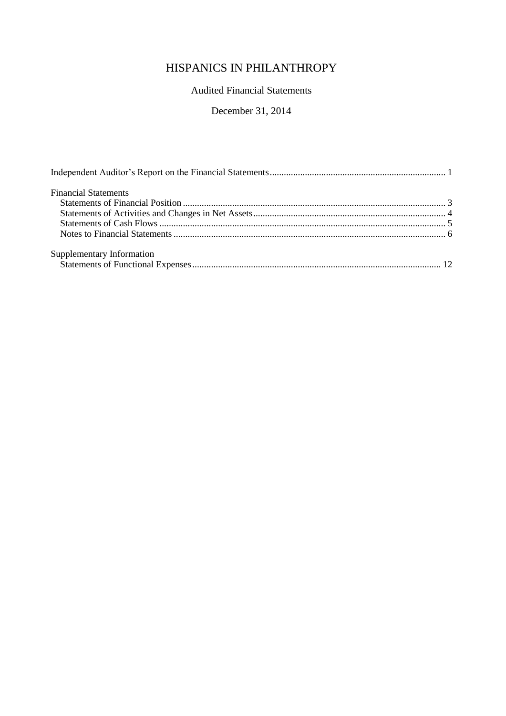# Audited Financial Statements

## December 31, 2014

| <b>Financial Statements</b> |  |
|-----------------------------|--|
|                             |  |
|                             |  |
|                             |  |
|                             |  |
| Supplementary Information   |  |
|                             |  |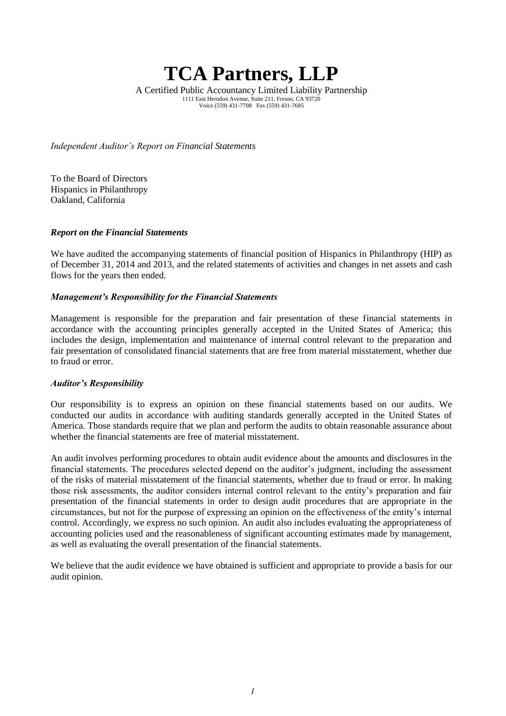# **TCA Partners, LLP**

A Certified Public Accountancy Limited Liability Partnership 1111 East Herndon Avenue, Suite 211, Fresno, CA 93720 Voice (559) 431-7708 Fax (559) 431-7685

*Independent Auditor's Report on Financial Statements*

To the Board of Directors Hispanics in Philanthropy Oakland, California

#### *Report on the Financial Statements*

We have audited the accompanying statements of financial position of Hispanics in Philanthropy (HIP) as of December 31, 2014 and 2013, and the related statements of activities and changes in net assets and cash flows for the years then ended.

#### *Management's Responsibility for the Financial Statements*

Management is responsible for the preparation and fair presentation of these financial statements in accordance with the accounting principles generally accepted in the United States of America; this includes the design, implementation and maintenance of internal control relevant to the preparation and fair presentation of consolidated financial statements that are free from material misstatement, whether due to fraud or error.

#### *Auditor's Responsibility*

Our responsibility is to express an opinion on these financial statements based on our audits. We conducted our audits in accordance with auditing standards generally accepted in the United States of America. Those standards require that we plan and perform the audits to obtain reasonable assurance about whether the financial statements are free of material misstatement.

An audit involves performing procedures to obtain audit evidence about the amounts and disclosures in the financial statements. The procedures selected depend on the auditor's judgment, including the assessment of the risks of material misstatement of the financial statements, whether due to fraud or error. In making those risk assessments, the auditor considers internal control relevant to the entity's preparation and fair presentation of the financial statements in order to design audit procedures that are appropriate in the circumstances, but not for the purpose of expressing an opinion on the effectiveness of the entity's internal control. Accordingly, we express no such opinion. An audit also includes evaluating the appropriateness of accounting policies used and the reasonableness of significant accounting estimates made by management, as well as evaluating the overall presentation of the financial statements.

We believe that the audit evidence we have obtained is sufficient and appropriate to provide a basis for our audit opinion.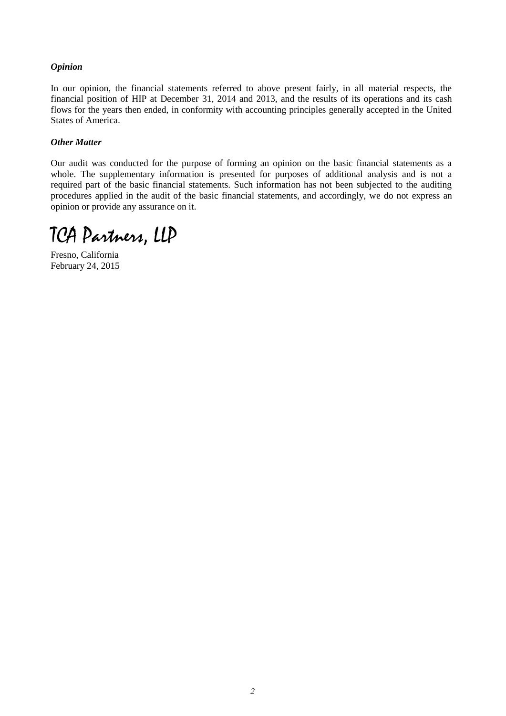#### *Opinion*

In our opinion, the financial statements referred to above present fairly, in all material respects, the financial position of HIP at December 31, 2014 and 2013, and the results of its operations and its cash flows for the years then ended, in conformity with accounting principles generally accepted in the United States of America.

#### *Other Matter*

Our audit was conducted for the purpose of forming an opinion on the basic financial statements as a whole. The supplementary information is presented for purposes of additional analysis and is not a required part of the basic financial statements. Such information has not been subjected to the auditing procedures applied in the audit of the basic financial statements, and accordingly, we do not express an opinion or provide any assurance on it.

TCA Partners, LLP

Fresno, California February 24, 2015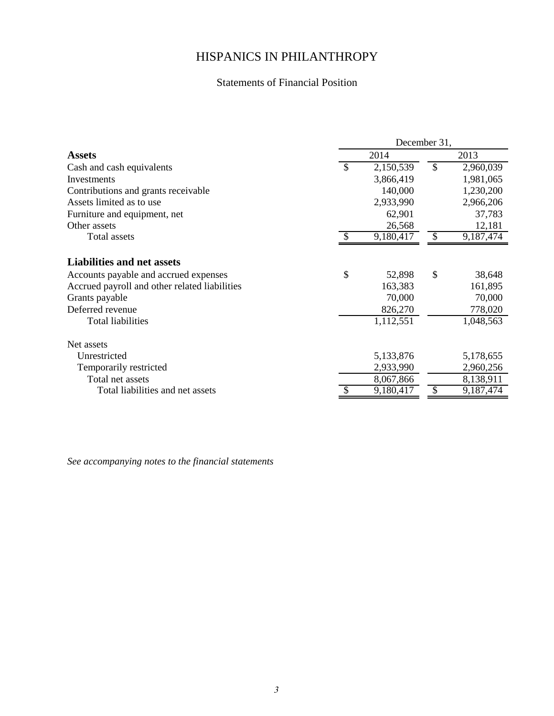# Statements of Financial Position

|                                                                                                                                               | December 31, |                             |               |                             |  |  |
|-----------------------------------------------------------------------------------------------------------------------------------------------|--------------|-----------------------------|---------------|-----------------------------|--|--|
| <b>Assets</b>                                                                                                                                 | 2014         |                             |               | 2013                        |  |  |
| Cash and cash equivalents                                                                                                                     | \$           | 2,150,539                   | $\mathcal{S}$ | 2,960,039                   |  |  |
| Investments                                                                                                                                   |              | 3,866,419                   |               | 1,981,065                   |  |  |
| Contributions and grants receivable                                                                                                           |              | 140,000                     |               | 1,230,200                   |  |  |
| Assets limited as to use                                                                                                                      |              | 2,933,990                   |               | 2,966,206                   |  |  |
| Furniture and equipment, net                                                                                                                  |              | 62,901                      |               | 37,783                      |  |  |
| Other assets                                                                                                                                  |              | 26,568                      |               | 12,181                      |  |  |
| Total assets                                                                                                                                  | $\mathbb{S}$ | 9,180,417                   | $\mathcal{S}$ | 9,187,474                   |  |  |
| <b>Liabilities and net assets</b><br>Accounts payable and accrued expenses<br>Accrued payroll and other related liabilities<br>Grants payable | \$           | 52,898<br>163,383<br>70,000 | \$            | 38,648<br>161,895<br>70,000 |  |  |
| Deferred revenue                                                                                                                              |              | 826,270                     |               | 778,020                     |  |  |
| Total liabilities                                                                                                                             |              | 1,112,551                   |               | 1,048,563                   |  |  |
| Net assets                                                                                                                                    |              |                             |               |                             |  |  |
| Unrestricted                                                                                                                                  |              | 5,133,876                   |               | 5,178,655                   |  |  |
| Temporarily restricted                                                                                                                        |              | 2,933,990                   |               | 2,960,256                   |  |  |
| Total net assets                                                                                                                              |              | 8,067,866                   |               | 8,138,911                   |  |  |
| Total liabilities and net assets                                                                                                              |              | 9,180,417                   |               | 9,187,474                   |  |  |
|                                                                                                                                               |              |                             |               |                             |  |  |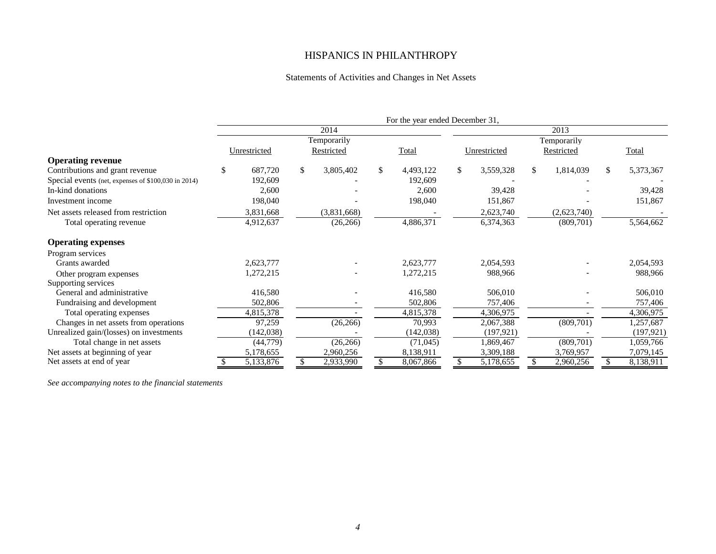#### Statements of Activities and Changes in Net Assets

|                                                     | For the year ended December 31, |              |    |             |              |            |    |              |     |             |    |            |
|-----------------------------------------------------|---------------------------------|--------------|----|-------------|--------------|------------|----|--------------|-----|-------------|----|------------|
|                                                     |                                 |              |    | 2014        |              |            |    |              |     | 2013        |    |            |
|                                                     |                                 |              |    | Temporarily |              |            |    |              |     | Temporarily |    |            |
|                                                     |                                 | Unrestricted |    | Restricted  |              | Total      |    | Unrestricted |     | Restricted  |    | Total      |
| <b>Operating revenue</b>                            |                                 |              |    |             |              |            |    |              |     |             |    |            |
| Contributions and grant revenue                     |                                 | 687,720      | \$ | 3,805,402   | $\mathbb{S}$ | 4,493,122  | \$ | 3,559,328    | \$  | 1,814,039   | \$ | 5,373,367  |
| Special events (net, expenses of \$100,030 in 2014) |                                 | 192,609      |    |             |              | 192,609    |    |              |     |             |    |            |
| In-kind donations                                   |                                 | 2,600        |    |             |              | 2,600      |    | 39,428       |     |             |    | 39,428     |
| Investment income                                   |                                 | 198,040      |    |             |              | 198,040    |    | 151,867      |     |             |    | 151,867    |
| Net assets released from restriction                |                                 | 3,831,668    |    | (3,831,668) |              |            |    | 2,623,740    |     | (2,623,740) |    |            |
| Total operating revenue                             |                                 | 4,912,637    |    | (26, 266)   |              | 4,886,371  |    | 6,374,363    |     | (809, 701)  |    | 5,564,662  |
| <b>Operating expenses</b>                           |                                 |              |    |             |              |            |    |              |     |             |    |            |
| Program services                                    |                                 |              |    |             |              |            |    |              |     |             |    |            |
| Grants awarded                                      |                                 | 2,623,777    |    |             |              | 2,623,777  |    | 2,054,593    |     |             |    | 2,054,593  |
| Other program expenses                              |                                 | 1,272,215    |    |             |              | 1,272,215  |    | 988,966      |     |             |    | 988,966    |
| Supporting services                                 |                                 |              |    |             |              |            |    |              |     |             |    |            |
| General and administrative                          |                                 | 416,580      |    |             |              | 416,580    |    | 506,010      |     |             |    | 506,010    |
| Fundraising and development                         |                                 | 502,806      |    |             |              | 502,806    |    | 757,406      |     |             |    | 757,406    |
| Total operating expenses                            |                                 | 4,815,378    |    |             |              | 4,815,378  |    | 4,306,975    |     |             |    | 4,306,975  |
| Changes in net assets from operations               |                                 | 97,259       |    | (26, 266)   |              | 70,993     |    | 2,067,388    |     | (809, 701)  |    | 1,257,687  |
| Unrealized gain/(losses) on investments             |                                 | (142, 038)   |    |             |              | (142, 038) |    | (197, 921)   |     |             |    | (197, 921) |
| Total change in net assets                          |                                 | (44, 779)    |    | (26, 266)   |              | (71,045)   |    | 1,869,467    |     | (809, 701)  |    | 1,059,766  |
| Net assets at beginning of year                     |                                 | 5,178,655    |    | 2,960,256   |              | 8,138,911  |    | 3,309,188    |     | 3,769,957   |    | 7,079,145  |
| Net assets at end of year                           | S                               | 5,133,876    | S. | 2,933,990   | \$           | 8,067,866  | \$ | 5,178,655    | \$. | 2,960,256   | S  | 8,138,911  |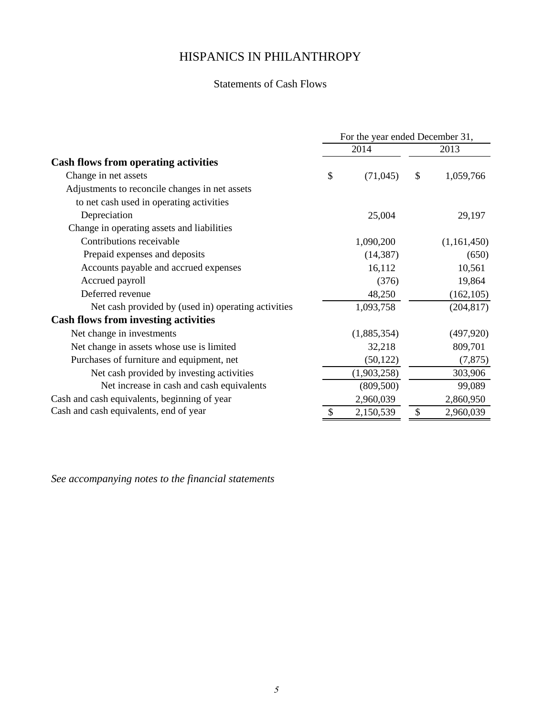# Statements of Cash Flows

|                                                     | For the year ended December 31, |             |      |             |  |  |  |
|-----------------------------------------------------|---------------------------------|-------------|------|-------------|--|--|--|
|                                                     |                                 | 2014        | 2013 |             |  |  |  |
| <b>Cash flows from operating activities</b>         |                                 |             |      |             |  |  |  |
| Change in net assets                                | \$                              | (71, 045)   | \$   | 1,059,766   |  |  |  |
| Adjustments to reconcile changes in net assets      |                                 |             |      |             |  |  |  |
| to net cash used in operating activities            |                                 |             |      |             |  |  |  |
| Depreciation                                        |                                 | 25,004      |      | 29,197      |  |  |  |
| Change in operating assets and liabilities          |                                 |             |      |             |  |  |  |
| Contributions receivable                            |                                 | 1,090,200   |      | (1,161,450) |  |  |  |
| Prepaid expenses and deposits                       |                                 | (14, 387)   |      | (650)       |  |  |  |
| Accounts payable and accrued expenses               |                                 | 16,112      |      | 10,561      |  |  |  |
| Accrued payroll                                     |                                 | (376)       |      | 19,864      |  |  |  |
| Deferred revenue                                    |                                 | 48,250      |      | (162, 105)  |  |  |  |
| Net cash provided by (used in) operating activities |                                 | 1,093,758   |      | (204, 817)  |  |  |  |
| <b>Cash flows from investing activities</b>         |                                 |             |      |             |  |  |  |
| Net change in investments                           |                                 | (1,885,354) |      | (497, 920)  |  |  |  |
| Net change in assets whose use is limited           |                                 | 32,218      |      | 809,701     |  |  |  |
| Purchases of furniture and equipment, net           |                                 | (50, 122)   |      | (7, 875)    |  |  |  |
| Net cash provided by investing activities           |                                 | (1,903,258) |      | 303,906     |  |  |  |
| Net increase in cash and cash equivalents           |                                 | (809, 500)  |      | 99,089      |  |  |  |
| Cash and cash equivalents, beginning of year        |                                 | 2,960,039   |      | 2,860,950   |  |  |  |
| Cash and cash equivalents, end of year              |                                 | 2,150,539   | \$   | 2,960,039   |  |  |  |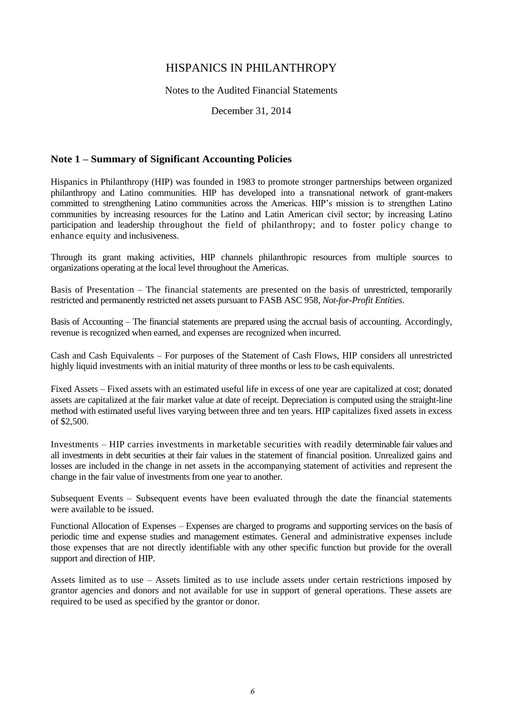Notes to the Audited Financial Statements

December 31, 2014

#### **Note 1 – Summary of Significant Accounting Policies**

Hispanics in Philanthropy (HIP) was founded in 1983 to promote stronger partnerships between organized philanthropy and Latino communities. HIP has developed into a transnational network of grant-makers committed to strengthening Latino communities across the Americas. HIP's mission is to strengthen Latino communities by increasing resources for the Latino and Latin American civil sector; by increasing Latino participation and leadership throughout the field of philanthropy; and to foster policy change to enhance equity and inclusiveness.

Through its grant making activities, HIP channels philanthropic resources from multiple sources to organizations operating at the local level throughout the Americas.

Basis of Presentation – The financial statements are presented on the basis of unrestricted, temporarily restricted and permanently restricted net assets pursuant to FASB ASC 958, *Not-for-Profit Entities*.

Basis of Accounting – The financial statements are prepared using the accrual basis of accounting. Accordingly, revenue is recognized when earned, and expenses are recognized when incurred.

Cash and Cash Equivalents – For purposes of the Statement of Cash Flows, HIP considers all unrestricted highly liquid investments with an initial maturity of three months or less to be cash equivalents.

Fixed Assets – Fixed assets with an estimated useful life in excess of one year are capitalized at cost; donated assets are capitalized at the fair market value at date of receipt. Depreciation is computed using the straight-line method with estimated useful lives varying between three and ten years. HIP capitalizes fixed assets in excess of \$2,500.

Investments – HIP carries investments in marketable securities with readily determinable fair values and all investments in debt securities at their fair values in the statement of financial position. Unrealized gains and losses are included in the change in net assets in the accompanying statement of activities and represent the change in the fair value of investments from one year to another.

Subsequent Events – Subsequent events have been evaluated through the date the financial statements were available to be issued.

Functional Allocation of Expenses – Expenses are charged to programs and supporting services on the basis of periodic time and expense studies and management estimates. General and administrative expenses include those expenses that are not directly identifiable with any other specific function but provide for the overall support and direction of HIP.

Assets limited as to use – Assets limited as to use include assets under certain restrictions imposed by grantor agencies and donors and not available for use in support of general operations. These assets are required to be used as specified by the grantor or donor.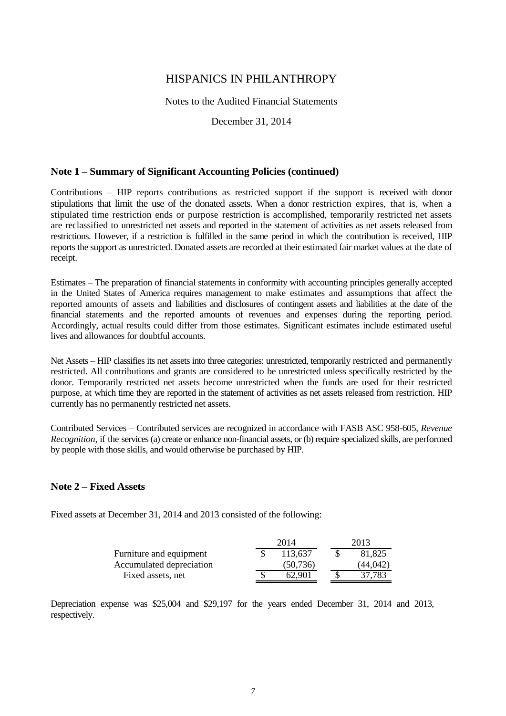#### Notes to the Audited Financial Statements

December 31, 2014

#### **Note 1 – Summary of Significant Accounting Policies (continued)**

Contributions – HIP reports contributions as restricted support if the support is received with donor stipulations that limit the use of the donated assets. When a donor restriction expires, that is, when a stipulated time restriction ends or purpose restriction is accomplished, temporarily restricted net assets are reclassified to unrestricted net assets and reported in the statement of activities as net assets released from restrictions. However, if a restriction is fulfilled in the same period in which the contribution is received, HIP reports the support as unrestricted. Donated assets are recorded at their estimated fair market values at the date of receipt.

Estimates – The preparation of financial statements in conformity with accounting principles generally accepted in the United States of America requires management to make estimates and assumptions that affect the reported amounts of assets and liabilities and disclosures of contingent assets and liabilities at the date of the financial statements and the reported amounts of revenues and expenses during the reporting period. Accordingly, actual results could differ from those estimates. Significant estimates include estimated useful lives and allowances for doubtful accounts.

Net Assets – HIP classifies its net assets into three categories: unrestricted, temporarily restricted and permanently restricted. All contributions and grants are considered to be unrestricted unless specifically restricted by the donor. Temporarily restricted net assets become unrestricted when the funds are used for their restricted purpose, at which time they are reported in the statement of activities as net assets released from restriction. HIP currently has no permanently restricted net assets.

Contributed Services – Contributed services are recognized in accordance with FASB ASC 958-605, *Revenue Recognition*, if the services (a) create or enhance non-financial assets, or (b) require specialized skills, are performed by people with those skills, and would otherwise be purchased by HIP.

#### **Note 2 – Fixed Assets**

Fixed assets at December 31, 2014 and 2013 consisted of the following:

|                          | 2014     | 2013     |
|--------------------------|----------|----------|
| Furniture and equipment  | 113,637  | 81,825   |
| Accumulated depreciation | (50.736) | (44.042) |
| Fixed assets, net        | 62.901   | 37,783   |

Depreciation expense was \$25,004 and \$29,197 for the years ended December 31, 2014 and 2013, respectively.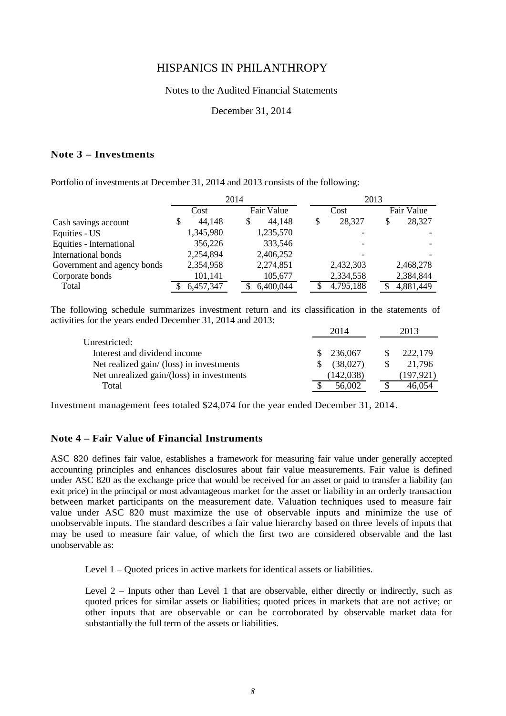#### Notes to the Audited Financial Statements

#### December 31, 2014

#### **Note 3 – Investments**

Portfolio of investments at December 31, 2014 and 2013 consists of the following:

|                             |              | 2014         | 2013      |            |  |  |
|-----------------------------|--------------|--------------|-----------|------------|--|--|
|                             | Cost         | Fair Value   | Cost      | Fair Value |  |  |
| Cash savings account        | 44,148<br>\$ | 44,148<br>\$ | 28,327    | 28,327     |  |  |
| Equities - US               | 1,345,980    | 1,235,570    |           |            |  |  |
| Equities - International    | 356,226      | 333,546      |           |            |  |  |
| International bonds         | 2,254,894    | 2,406,252    |           |            |  |  |
| Government and agency bonds | 2,354,958    | 2,274,851    | 2,432,303 | 2,468,278  |  |  |
| Corporate bonds             | 101,141      | 105,677      | 2,334,558 | 2,384,844  |  |  |
| Total                       | 6,457,347    | 6,400,044    | 4,795,188 | 4,881,449  |  |  |

The following schedule summarizes investment return and its classification in the statements of activities for the years ended December 31, 2014 and 2013:

|                                           | 2014       |  | 2013      |
|-------------------------------------------|------------|--|-----------|
| Unrestricted:                             |            |  |           |
| Interest and dividend income              | \$236,067  |  | 222,179   |
| Net realized gain/ (loss) in investments  | (38,027)   |  | 21.796    |
| Net unrealized gain/(loss) in investments | (142, 038) |  | (197.921) |
| Total                                     | 56,002     |  | 46.054    |

Investment management fees totaled \$24,074 for the year ended December 31, 2014.

#### **Note 4 – Fair Value of Financial Instruments**

ASC 820 defines fair value, establishes a framework for measuring fair value under generally accepted accounting principles and enhances disclosures about fair value measurements. Fair value is defined under ASC 820 as the exchange price that would be received for an asset or paid to transfer a liability (an exit price) in the principal or most advantageous market for the asset or liability in an orderly transaction between market participants on the measurement date. Valuation techniques used to measure fair value under ASC 820 must maximize the use of observable inputs and minimize the use of unobservable inputs. The standard describes a fair value hierarchy based on three levels of inputs that may be used to measure fair value, of which the first two are considered observable and the last unobservable as:

Level 1 – Quoted prices in active markets for identical assets or liabilities.

Level 2 – Inputs other than Level 1 that are observable, either directly or indirectly, such as quoted prices for similar assets or liabilities; quoted prices in markets that are not active; or other inputs that are observable or can be corroborated by observable market data for substantially the full term of the assets or liabilities.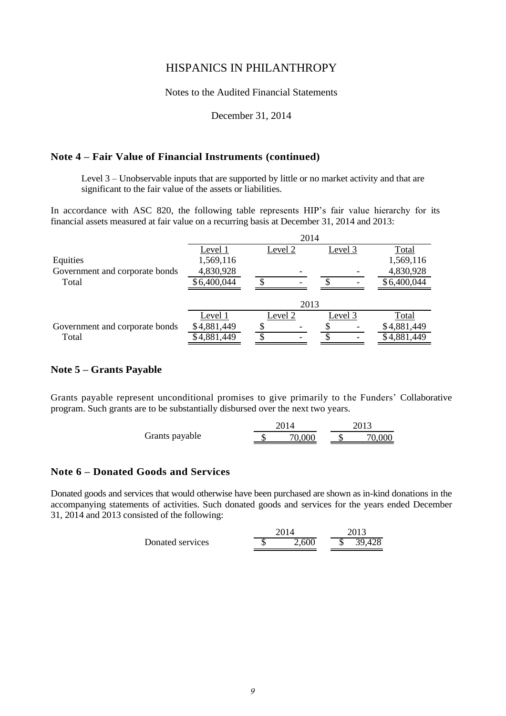Notes to the Audited Financial Statements

December 31, 2014

#### **Note 4 – Fair Value of Financial Instruments (continued)**

Level 3 – Unobservable inputs that are supported by little or no market activity and that are significant to the fair value of the assets or liabilities.

In accordance with ASC 820, the following table represents HIP's fair value hierarchy for its financial assets measured at fair value on a recurring basis at December 31, 2014 and 2013:

|                                | 2014        |         |         |             |  |  |  |
|--------------------------------|-------------|---------|---------|-------------|--|--|--|
|                                | Level 1     | Level 2 | Level 3 | Total       |  |  |  |
| Equities                       | 1,569,116   |         |         | 1,569,116   |  |  |  |
| Government and corporate bonds | 4,830,928   |         |         | 4,830,928   |  |  |  |
| Total                          | \$6,400,044 |         |         | \$6,400,044 |  |  |  |
|                                |             |         |         |             |  |  |  |
|                                |             | 2013    |         |             |  |  |  |
|                                | Level 1     | Level 2 | Level 3 | Total       |  |  |  |
| Government and corporate bonds | \$4,881,449 |         |         | \$4,881,449 |  |  |  |
| Total                          | \$4,881,449 |         |         | \$4,881,449 |  |  |  |
|                                |             |         |         |             |  |  |  |

#### **Note 5 – Grants Payable**

Grants payable represent unconditional promises to give primarily to the Funders' Collaborative program. Such grants are to be substantially disbursed over the next two years.

| Grants payable |  | 70.000 |  | .70.00C |
|----------------|--|--------|--|---------|

#### **Note 6 – Donated Goods and Services**

Donated goods and services that would otherwise have been purchased are shown as in-kind donations in the accompanying statements of activities. Such donated goods and services for the years ended December 31, 2014 and 2013 consisted of the following:

|                  | 2014  | 2013   |
|------------------|-------|--------|
| Donated services | 2,600 | 39,428 |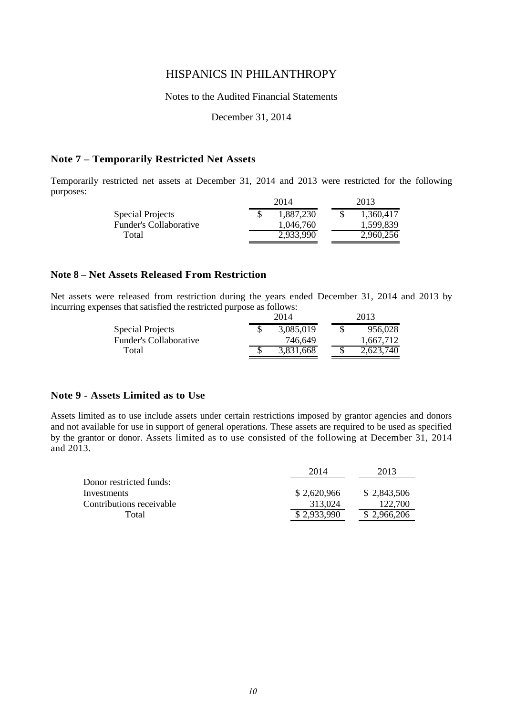#### Notes to the Audited Financial Statements

December 31, 2014

#### **Note 7 – Temporarily Restricted Net Assets**

Temporarily restricted net assets at December 31, 2014 and 2013 were restricted for the following purposes:

|                        | 2014      | 2013      |
|------------------------|-----------|-----------|
| Special Projects       | 1,887,230 | 1,360,417 |
| Funder's Collaborative | 1.046.760 | 1,599,839 |
| Total                  | 2.933.990 | 2,960,256 |
|                        |           |           |

#### **Note 8 – Net Assets Released From Restriction**

Net assets were released from restriction during the years ended December 31, 2014 and 2013 by incurring expenses that satisfied the restricted purpose as follows:

|                        | 2014      | 2013 |           |  |  |
|------------------------|-----------|------|-----------|--|--|
| Special Projects       | 3,085,019 |      | 956,028   |  |  |
| Funder's Collaborative | 746.649   |      | 1.667.712 |  |  |
| Total                  | 3,831,668 |      | 2,623,740 |  |  |

#### **Note 9 - Assets Limited as to Use**

Assets limited as to use include assets under certain restrictions imposed by grantor agencies and donors and not available for use in support of general operations. These assets are required to be used as specified by the grantor or donor. Assets limited as to use consisted of the following at December 31, 2014 and 2013.

|                          | 2014        | 2013        |
|--------------------------|-------------|-------------|
| Donor restricted funds:  |             |             |
| Investments              | \$2,620,966 | \$2,843,506 |
| Contributions receivable | 313.024     | 122,700     |
| Total                    | \$2,933,990 | \$2,966,206 |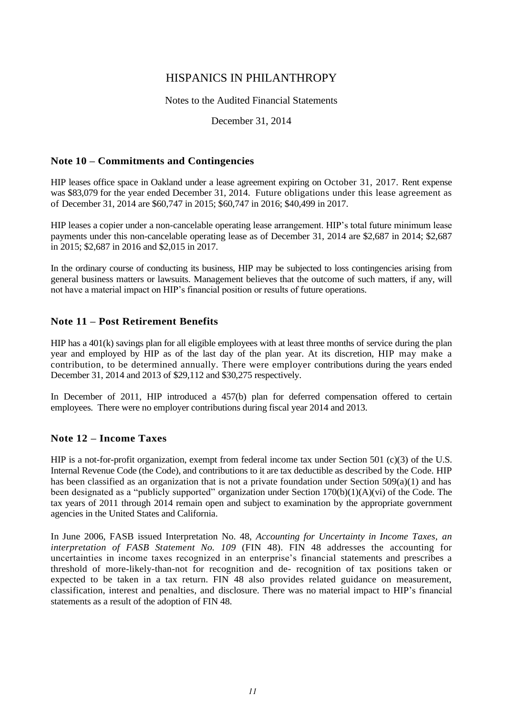#### Notes to the Audited Financial Statements

#### December 31, 2014

#### **Note 10 – Commitments and Contingencies**

HIP leases office space in Oakland under a lease agreement expiring on October 31, 2017. Rent expense was \$83,079 for the year ended December 31, 2014. Future obligations under this lease agreement as of December 31, 2014 are \$60,747 in 2015; \$60,747 in 2016; \$40,499 in 2017.

HIP leases a copier under a non-cancelable operating lease arrangement. HIP's total future minimum lease payments under this non-cancelable operating lease as of December 31, 2014 are \$2,687 in 2014; \$2,687 in 2015; \$2,687 in 2016 and \$2,015 in 2017.

In the ordinary course of conducting its business, HIP may be subjected to loss contingencies arising from general business matters or lawsuits. Management believes that the outcome of such matters, if any, will not have a material impact on HIP's financial position or results of future operations.

#### **Note 11 – Post Retirement Benefits**

HIP has a 401(k) savings plan for all eligible employees with at least three months of service during the plan year and employed by HIP as of the last day of the plan year. At its discretion, HIP may make a contribution, to be determined annually. There were employer contributions during the years ended December 31, 2014 and 2013 of \$29,112 and \$30,275 respectively.

In December of 2011, HIP introduced a 457(b) plan for deferred compensation offered to certain employees. There were no employer contributions during fiscal year 2014 and 2013.

#### **Note 12 – Income Taxes**

HIP is a not-for-profit organization, exempt from federal income tax under Section 501 (c)(3) of the U.S. Internal Revenue Code (the Code), and contributions to it are tax deductible as described by the Code. HIP has been classified as an organization that is not a private foundation under Section 509(a)(1) and has been designated as a "publicly supported" organization under Section 170(b)(1)(A)(vi) of the Code. The tax years of 2011 through 2014 remain open and subject to examination by the appropriate government agencies in the United States and California.

In June 2006, FASB issued Interpretation No. 48, *Accounting for Uncertainty in Income Taxes, an interpretation of FASB Statement No. 109* (FIN 48). FIN 48 addresses the accounting for uncertainties in income taxes recognized in an enterprise's financial statements and prescribes a threshold of more-likely-than-not for recognition and de- recognition of tax positions taken or expected to be taken in a tax return. FIN 48 also provides related guidance on measurement, classification, interest and penalties, and disclosure. There was no material impact to HIP's financial statements as a result of the adoption of FIN 48.